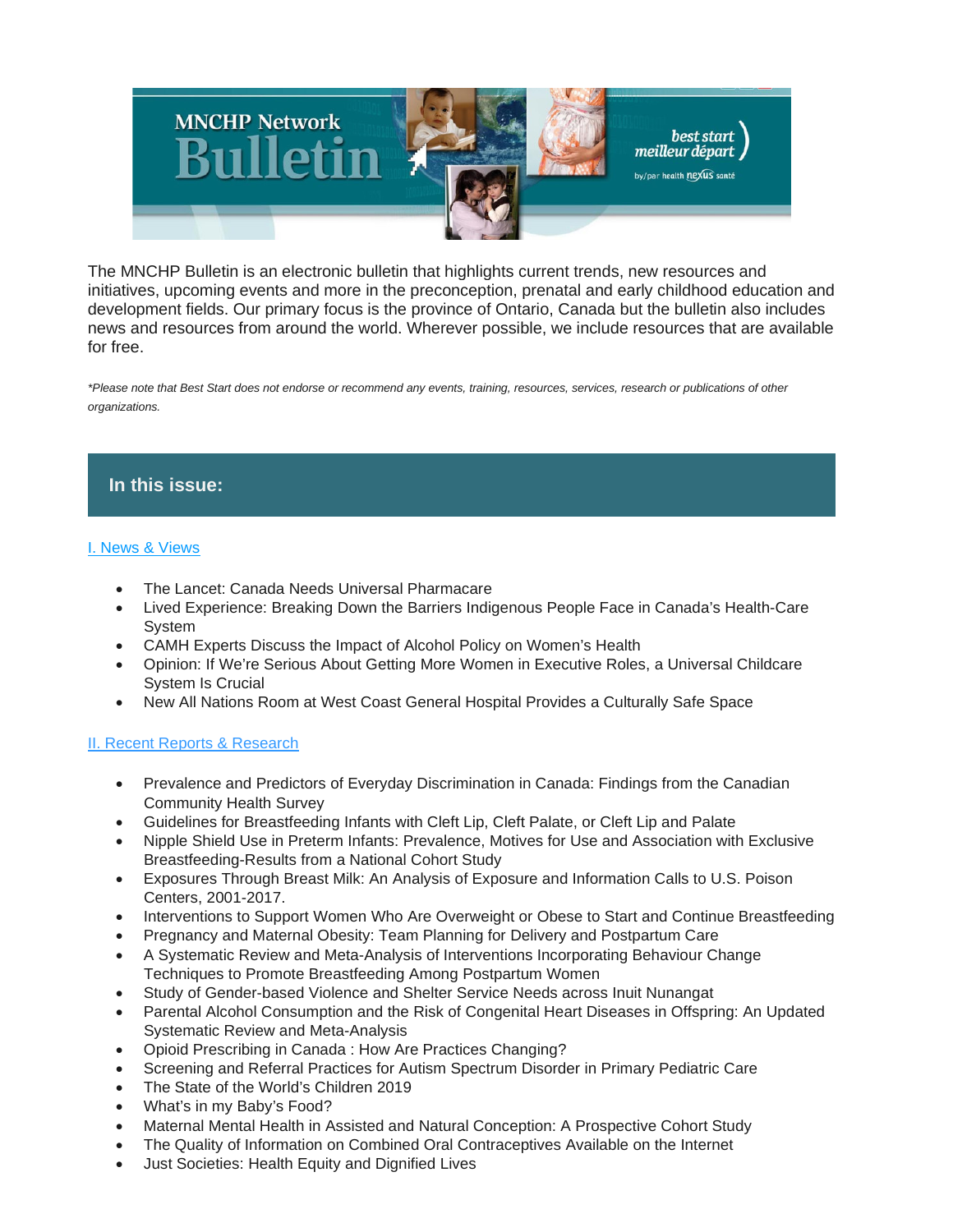

The MNCHP Bulletin is an electronic bulletin that highlights current trends, new resources and initiatives, upcoming events and more in the preconception, prenatal and early childhood education and development fields. Our primary focus is the province of Ontario, Canada but the bulletin also includes news and resources from around the world. Wherever possible, we include resources that are available for free.

*\*Please note that Best Start does not endorse or recommend any events, training, resources, services, research or publications of other organizations.*

# **In this issue:**

## [I. News & Views](https://us14.admin.mailchimp.com/templates/preview-template?id=187034#I.%20News%20&%20Views)

- The Lancet: Canada Needs Universal Pharmacare
- Lived Experience: Breaking Down the Barriers Indigenous People Face in Canada's Health-Care System
- CAMH Experts Discuss the Impact of Alcohol Policy on Women's Health
- Opinion: If We're Serious About Getting More Women in Executive Roles, a Universal Childcare System Is Crucial
- New All Nations Room at West Coast General Hospital Provides a Culturally Safe Space

## [II. Recent Reports & Research](https://us14.admin.mailchimp.com/templates/preview-template?id=187034#II.%20Recent%20Reports%20&%20Research%20-%20Early%20Childhood%20Development%20and%20Education)

- Prevalence and Predictors of Everyday Discrimination in Canada: Findings from the Canadian Community Health Survey
- Guidelines for Breastfeeding Infants with Cleft Lip, Cleft Palate, or Cleft Lip and Palate
- Nipple Shield Use in Preterm Infants: Prevalence, Motives for Use and Association with Exclusive Breastfeeding-Results from a National Cohort Study
- Exposures Through Breast Milk: An Analysis of Exposure and Information Calls to U.S. Poison Centers, 2001-2017.
- Interventions to Support Women Who Are Overweight or Obese to Start and Continue Breastfeeding
- Pregnancy and Maternal Obesity: Team Planning for Delivery and Postpartum Care
- A Systematic Review and Meta-Analysis of Interventions Incorporating Behaviour Change Techniques to Promote Breastfeeding Among Postpartum Women
- Study of Gender-based Violence and Shelter Service Needs across Inuit Nunangat
- Parental Alcohol Consumption and the Risk of Congenital Heart Diseases in Offspring: An Updated Systematic Review and Meta-Analysis
- Opioid Prescribing in Canada : How Are Practices Changing?
- Screening and Referral Practices for Autism Spectrum Disorder in Primary Pediatric Care
- The State of the World's Children 2019
- What's in my Baby's Food?
- Maternal Mental Health in Assisted and Natural Conception: A Prospective Cohort Study
- The Quality of Information on Combined Oral Contraceptives Available on the Internet
- Just Societies: Health Equity and Dignified Lives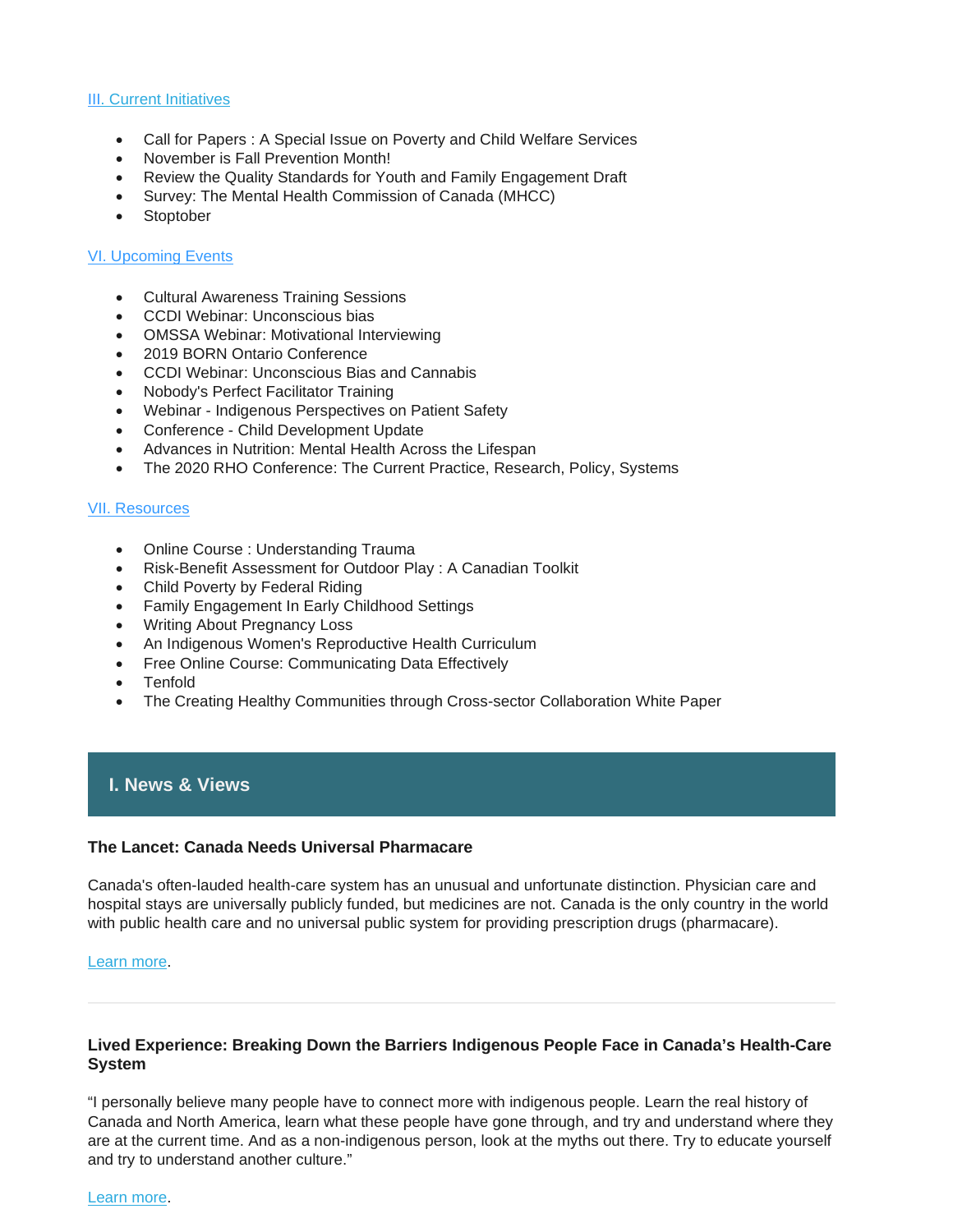#### [III](https://us14.admin.mailchimp.com/templates/preview-template?id=187034#III.%20Current%20Initiatives)[. Current Initiatives](https://us14.admin.mailchimp.com/templates/preview-template?id=187034#V.%20Current%20Initiatives)

- Call for Papers : A Special Issue on Poverty and Child Welfare Services
- November is Fall Prevention Month!
- Review the Quality Standards for Youth and Family Engagement Draft
- Survey: The Mental Health Commission of Canada (MHCC)
- Stoptober

## [VI. Upcoming Events](https://us14.admin.mailchimp.com/templates/preview-template?id=187034#IV.%20Upcoming%20Events)

- Cultural Awareness Training Sessions
- CCDI Webinar: Unconscious bias
- OMSSA Webinar: Motivational Interviewing
- 2019 BORN Ontario Conference
- CCDI Webinar: Unconscious Bias and Cannabis
- Nobody's Perfect Facilitator Training
- Webinar Indigenous Perspectives on Patient Safety
- Conference Child Development Update
- Advances in Nutrition: Mental Health Across the Lifespan
- The 2020 RHO Conference: The Current Practice, Research, Policy, Systems

## [VII. Resources](https://us14.admin.mailchimp.com/templates/preview-template?id=187034#V.%20Resources)

- Online Course : Understanding Trauma
- Risk-Benefit Assessment for Outdoor Play : A Canadian Toolkit
- Child Poverty by Federal Riding
- Family Engagement In Early Childhood Settings
- Writing About Pregnancy Loss
- An Indigenous Women's Reproductive Health Curriculum
- Free Online Course: Communicating Data Effectively
- Tenfold
- The Creating Healthy Communities through Cross-sector Collaboration White Paper

# **I. News & Views**

#### **The Lancet: Canada Needs Universal Pharmacare**

Canada's often-lauded health-care system has an unusual and unfortunate distinction. Physician care and hospital stays are universally publicly funded, but medicines are not. Canada is the only country in the world with public health care and no universal public system for providing prescription drugs (pharmacare).

#### [Learn more.](https://www.thelancet.com/journals/lancet/article/PIIS0140-6736(19)32324-4/fulltext)

#### **Lived Experience: Breaking Down the Barriers Indigenous People Face in Canada's Health-Care System**

"I personally believe many people have to connect more with indigenous people. Learn the real history of Canada and North America, learn what these people have gone through, and try and understand where they are at the current time. And as a non-indigenous person, look at the myths out there. Try to educate yourself and try to understand another culture."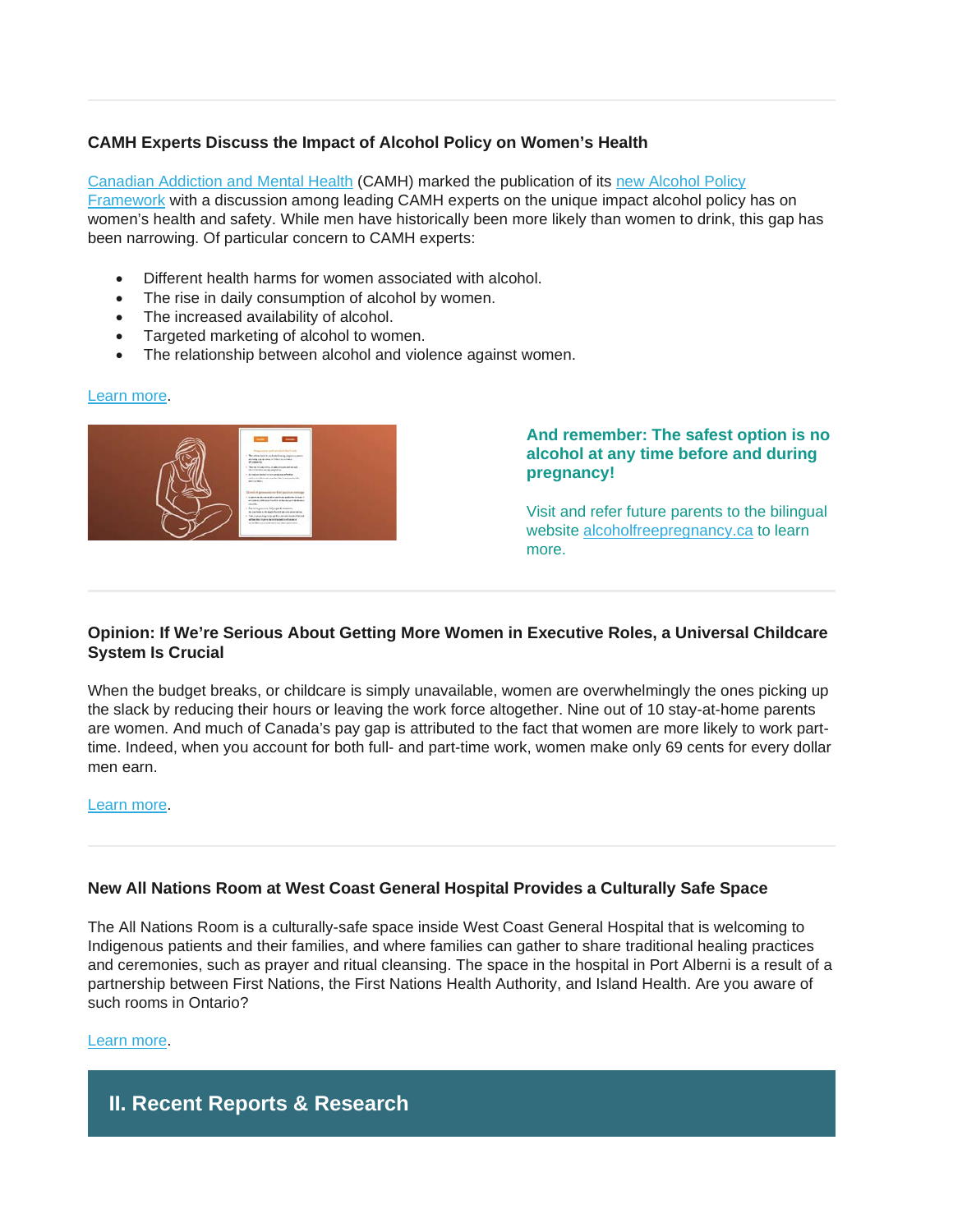# **CAMH Experts Discuss the Impact of Alcohol Policy on Women's Health**

[Canadian Addiction and Mental Health](http://www.camh.ca/) (CAMH) marked the publication of its [new Alcohol Policy](http://www.camh.ca/-/media/files/pdfs---public-policy-submissions/camh-alcoholpolicyframework-2019-pdf.pdf?la=en&hash=6DCD59D94B92BBC148A8D6F6F4A8EAA6D2F6E09B)  [Framework](http://www.camh.ca/-/media/files/pdfs---public-policy-submissions/camh-alcoholpolicyframework-2019-pdf.pdf?la=en&hash=6DCD59D94B92BBC148A8D6F6F4A8EAA6D2F6E09B) with a discussion among leading CAMH experts on the unique impact alcohol policy has on women's health and safety. While men have historically been more likely than women to drink, this gap has been narrowing. Of particular concern to CAMH experts:

- Different health harms for women associated with alcohol.
- The rise in daily consumption of alcohol by women.
- The increased availability of alcohol.
- Targeted marketing of alcohol to women.
- The relationship between alcohol and violence against women.

#### [Learn more.](http://www.camh.ca/en/camh-news-and-stories/experts-discuss-impact-of-alcohol-policy-on-womens-health)



**And remember: The safest option is no alcohol at any time before and during pregnancy!**

Visit and refer future parents to the bilingual website [alcoholfreepregnancy.ca](https://www.alcoholfreepregnancy.ca/) to learn more.

## **Opinion: If We're Serious About Getting More Women in Executive Roles, a Universal Childcare System Is Crucial**

When the budget breaks, or childcare is simply unavailable, women are overwhelmingly the ones picking up the slack by reducing their hours or leaving the work force altogether. Nine out of 10 stay-at-home parents are women. And much of Canada's pay gap is attributed to the fact that women are more likely to work parttime. Indeed, when you account for both full- and part-time work, women make only 69 cents for every dollar men earn.

#### [Learn more.](https://www.theglobeandmail.com/business/commentary/article-if-were-serious-about-getting-more-women-in-the-boardroom-a/)

## **New All Nations Room at West Coast General Hospital Provides a Culturally Safe Space**

The All Nations Room is a culturally-safe space inside West Coast General Hospital that is welcoming to Indigenous patients and their families, and where families can gather to share traditional healing practices and ceremonies, such as prayer and ritual cleansing. The space in the hospital in Port Alberni is a result of a partnership between First Nations, the First Nations Health Authority, and Island Health. Are you aware of such rooms in Ontario?

#### [Learn more.](https://firstnationshealthauthority.cmail20.com/t/i-l-pkrhjkk-wkutyxld-s/)

# **II. Recent Reports & Research**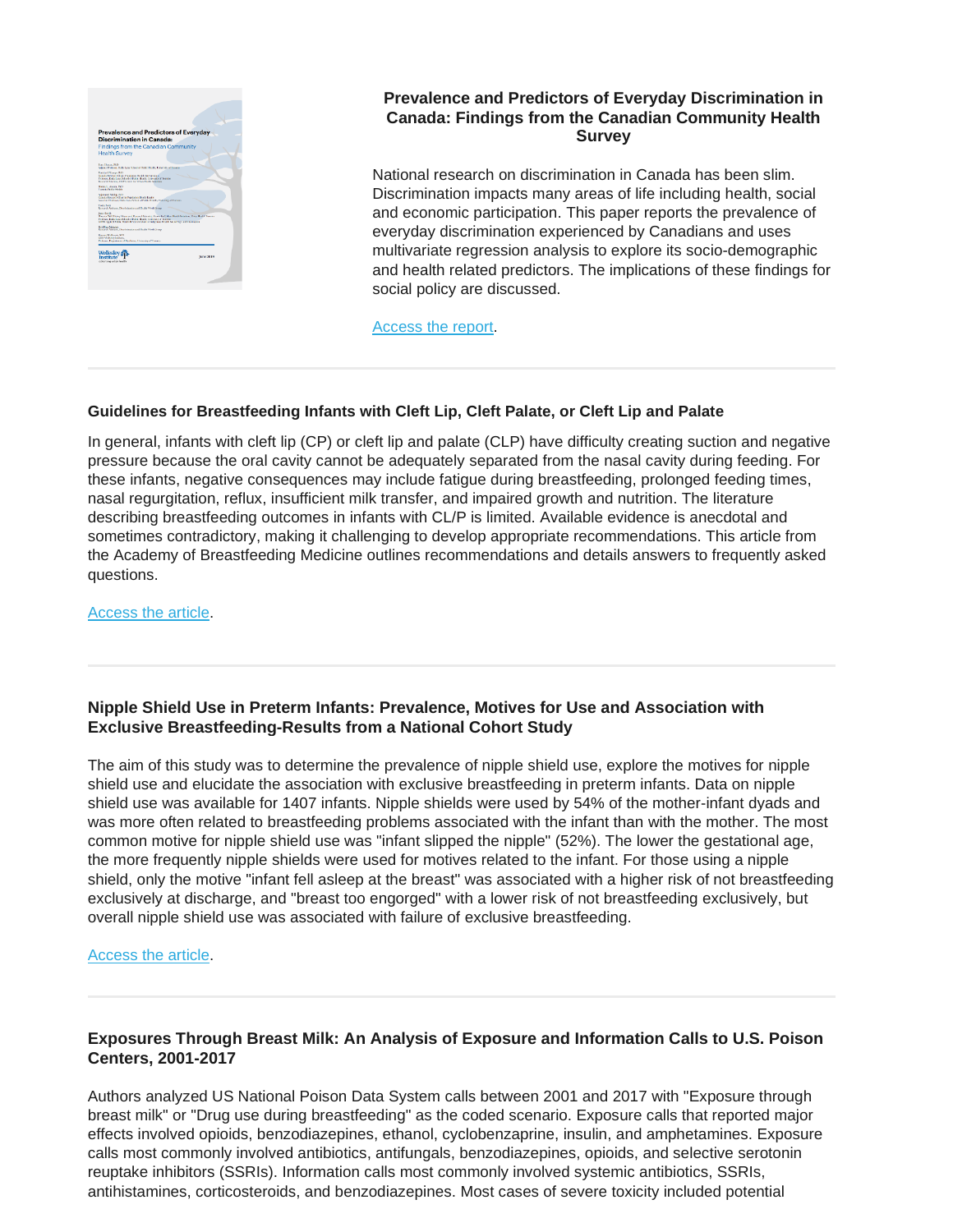

# **Prevalence and Predictors of Everyday Discrimination in Canada: Findings from the Canadian Community Health Survey**

National research on discrimination in Canada has been slim. Discrimination impacts many areas of life including health, social and economic participation. This paper reports the prevalence of everyday discrimination experienced by Canadians and uses multivariate regression analysis to explore its socio-demographic and health related predictors. The implications of these findings for social policy are discussed.

[Access the report.](https://www.wellesleyinstitute.com/wp-content/uploads/2019/10/Prevalence-and-Predictors.pdf)

#### **Guidelines for Breastfeeding Infants with Cleft Lip, Cleft Palate, or Cleft Lip and Palate**

In general, infants with cleft lip (CP) or cleft lip and palate (CLP) have difficulty creating suction and negative pressure because the oral cavity cannot be adequately separated from the nasal cavity during feeding. For these infants, negative consequences may include fatigue during breastfeeding, prolonged feeding times, nasal regurgitation, reflux, insufficient milk transfer, and impaired growth and nutrition. The literature describing breastfeeding outcomes in infants with CL/P is limited. Available evidence is anecdotal and sometimes contradictory, making it challenging to develop appropriate recommendations. This article from the Academy of Breastfeeding Medicine outlines recommendations and details answers to frequently asked questions.

[Access the article.](https://www.liebertpub.com/doi/full/10.1089/bfm.2019.29132.job)

## **Nipple Shield Use in Preterm Infants: Prevalence, Motives for Use and Association with Exclusive Breastfeeding-Results from a National Cohort Study**

The aim of this study was to determine the prevalence of nipple shield use, explore the motives for nipple shield use and elucidate the association with exclusive breastfeeding in preterm infants. Data on nipple shield use was available for 1407 infants. Nipple shields were used by 54% of the mother-infant dyads and was more often related to breastfeeding problems associated with the infant than with the mother. The most common motive for nipple shield use was "infant slipped the nipple" (52%). The lower the gestational age, the more frequently nipple shields were used for motives related to the infant. For those using a nipple shield, only the motive "infant fell asleep at the breast" was associated with a higher risk of not breastfeeding exclusively at discharge, and "breast too engorged" with a lower risk of not breastfeeding exclusively, but overall nipple shield use was associated with failure of exclusive breastfeeding.

#### [Access the article.](https://www.ncbi.nlm.nih.gov/pmc/articles/PMC6754237/)

# **Exposures Through Breast Milk: An Analysis of Exposure and Information Calls to U.S. Poison Centers, 2001-2017**

Authors analyzed US National Poison Data System calls between 2001 and 2017 with "Exposure through breast milk" or "Drug use during breastfeeding" as the coded scenario. Exposure calls that reported major effects involved opioids, benzodiazepines, ethanol, cyclobenzaprine, insulin, and amphetamines. Exposure calls most commonly involved antibiotics, antifungals, benzodiazepines, opioids, and selective serotonin reuptake inhibitors (SSRIs). Information calls most commonly involved systemic antibiotics, SSRIs, antihistamines, corticosteroids, and benzodiazepines. Most cases of severe toxicity included potential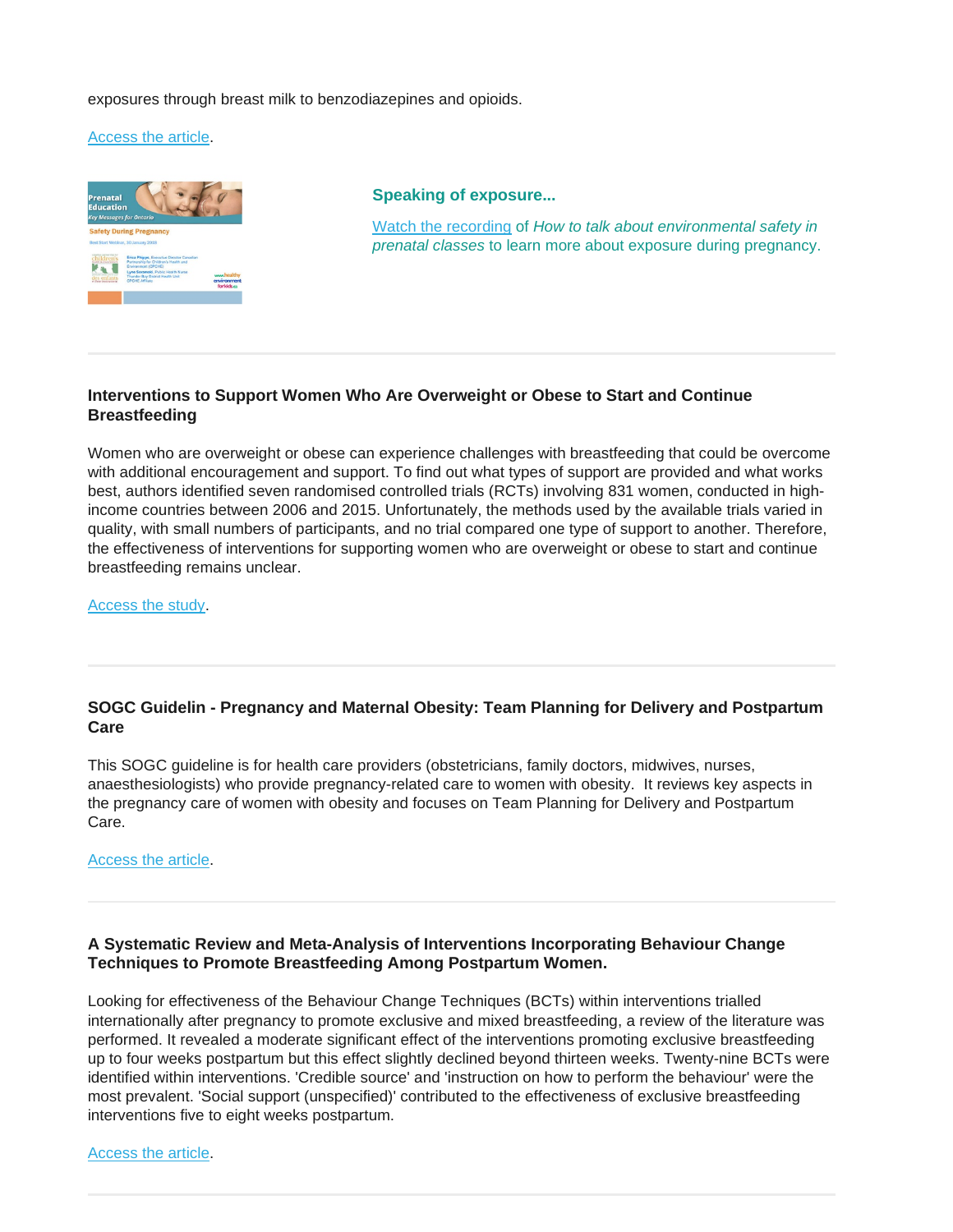#### exposures through breast milk to benzodiazepines and opioids.

#### [Access the article.](https://www.ncbi.nlm.nih.gov/pubmed/31211594)



**Speaking of exposure...**

[Watch the recording](http://en.beststart.org/past-events/webinar-how-talk-about-environmental-safety-prenatal-classes-using-prenatal-education-messages) of *How to talk about environmental safety in prenatal classes* to learn more about exposure during pregnancy.

## **Interventions to Support Women Who Are Overweight or Obese to Start and Continue Breastfeeding**

Women who are overweight or obese can experience challenges with breastfeeding that could be overcome with additional encouragement and support. To find out what types of support are provided and what works best, authors identified seven randomised controlled trials (RCTs) involving 831 women, conducted in highincome countries between 2006 and 2015. Unfortunately, the methods used by the available trials varied in quality, with small numbers of participants, and no trial compared one type of support to another. Therefore, the effectiveness of interventions for supporting women who are overweight or obese to start and continue breastfeeding remains unclear.

[Access the study.](https://www.cochrane.org/CD012099/PREG_interventions-support-women-who-are-overweight-or-obese-start-and-continue-breastfeeding)

# **SOGC Guidelin - Pregnancy and Maternal Obesity: Team Planning for Delivery and Postpartum Care**

This SOGC guideline is for health care providers (obstetricians, family doctors, midwives, nurses, anaesthesiologists) who provide pregnancy-related care to women with obesity. It reviews key aspects in the pregnancy care of women with obesity and focuses on Team Planning for Delivery and Postpartum Care.

[Access the article.](https://www.jogc.com/article/S1701-2163(19)30454-2/pdf)

## **A Systematic Review and Meta-Analysis of Interventions Incorporating Behaviour Change Techniques to Promote Breastfeeding Among Postpartum Women.**

Looking for effectiveness of the Behaviour Change Techniques (BCTs) within interventions trialled internationally after pregnancy to promote exclusive and mixed breastfeeding, a review of the literature was performed. It revealed a moderate significant effect of the interventions promoting exclusive breastfeeding up to four weeks postpartum but this effect slightly declined beyond thirteen weeks. Twenty-nine BCTs were identified within interventions. 'Credible source' and 'instruction on how to perform the behaviour' were the most prevalent. 'Social support (unspecified)' contributed to the effectiveness of exclusive breastfeeding interventions five to eight weeks postpartum.

[Access the article.](https://www.ncbi.nlm.nih.gov/pubmed/31117897?dopt=Abstract)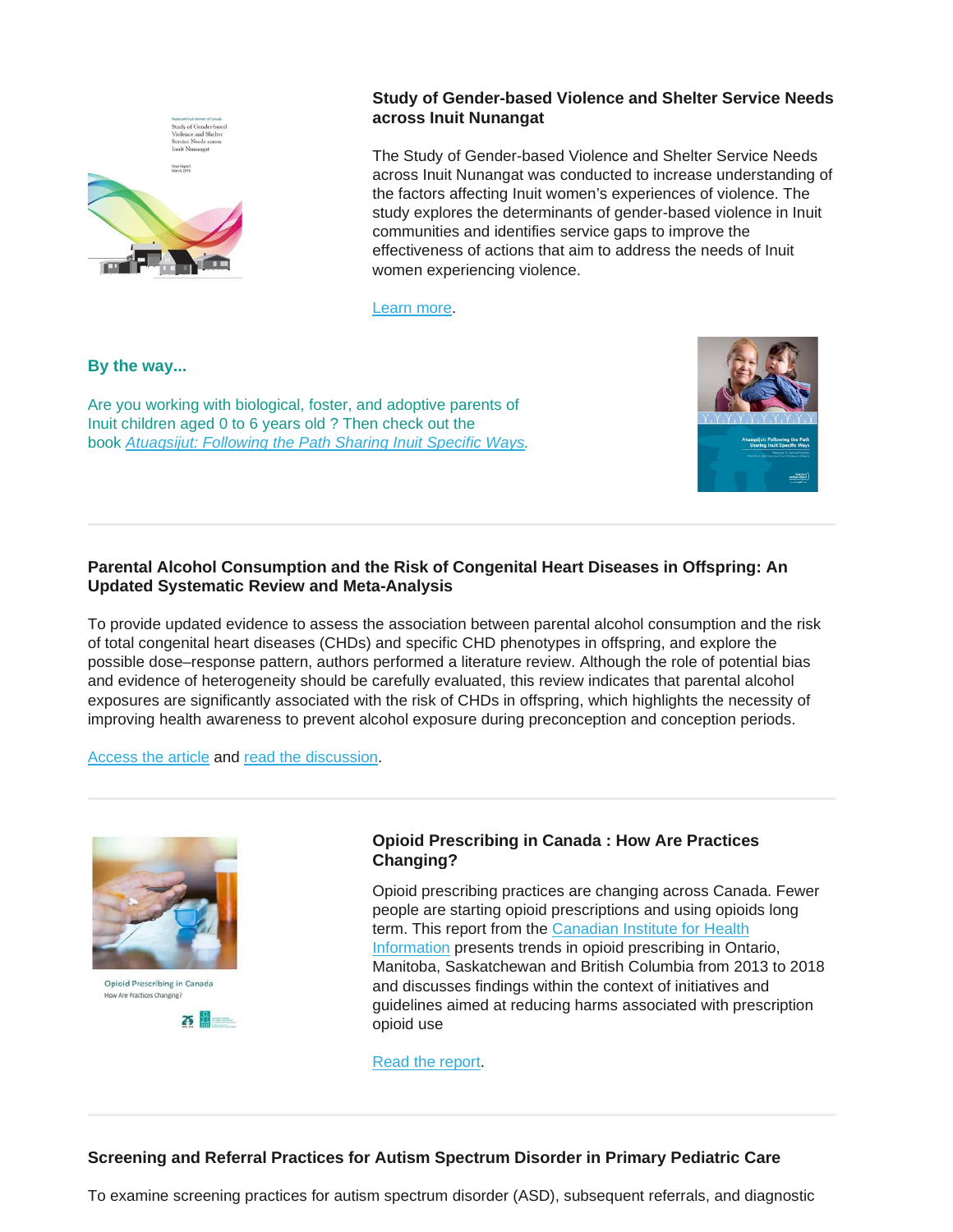

# **Study of Gender-based Violence and Shelter Service Needs across Inuit Nunangat**

The Study of Gender-based Violence and Shelter Service Needs across Inuit Nunangat was conducted to increase understanding of the factors affecting Inuit women's experiences of violence. The study explores the determinants of gender-based violence in Inuit communities and identifies service gaps to improve the effectiveness of actions that aim to address the needs of Inuit women experiencing violence.

[Learn more.](https://www.pauktuutit.ca/project/study-of-gender-based-violence-and-shelter-services-needs-across-inuit-nunangat/)

**By the way...**

Are you working with biological, foster, and adoptive parents of Inuit children aged 0 to 6 years old ? Then check out the book *[Atuaqsijut: Following the Path Sharing Inuit Specific Ways.](https://resources.beststart.org/product/k84a-atuaqsijut-inuit-manual/)*



# **Parental Alcohol Consumption and the Risk of Congenital Heart Diseases in Offspring: An Updated Systematic Review and Meta-Analysis**

To provide updated evidence to assess the association between parental alcohol consumption and the risk of total congenital heart diseases (CHDs) and specific CHD phenotypes in offspring, and explore the possible dose–response pattern, authors performed a literature review. Although the role of potential bias and evidence of heterogeneity should be carefully evaluated, this review indicates that parental alcohol exposures are significantly associated with the risk of CHDs in offspring, which highlights the necessity of improving health awareness to prevent alcohol exposure during preconception and conception periods.

[Access the article](https://journals.sagepub.com/doi/10.1177/2047487319874530) and [read the discussion.](https://www.sciencedaily.com/releases/2019/10/191003074846.htm)



Opioid Prescribing in Canada How Are Practices Changing?



# **Opioid Prescribing in Canada : How Are Practices Changing?**

Opioid prescribing practices are changing across Canada. Fewer people are starting opioid prescriptions and using opioids long term. This report from the [Canadian Institute for Health](https://www.cihi.ca/en)  [Information](https://www.cihi.ca/en) presents trends in opioid prescribing in Ontario, Manitoba, Saskatchewan and British Columbia from 2013 to 2018 and discusses findings within the context of initiatives and guidelines aimed at reducing harms associated with prescription opioid use

[Read the report.](https://www.cihi.ca/sites/default/files/document/opioid-prescribing-canada-trends-en-web.pdf)

## **Screening and Referral Practices for Autism Spectrum Disorder in Primary Pediatric Care**

To examine screening practices for autism spectrum disorder (ASD), subsequent referrals, and diagnostic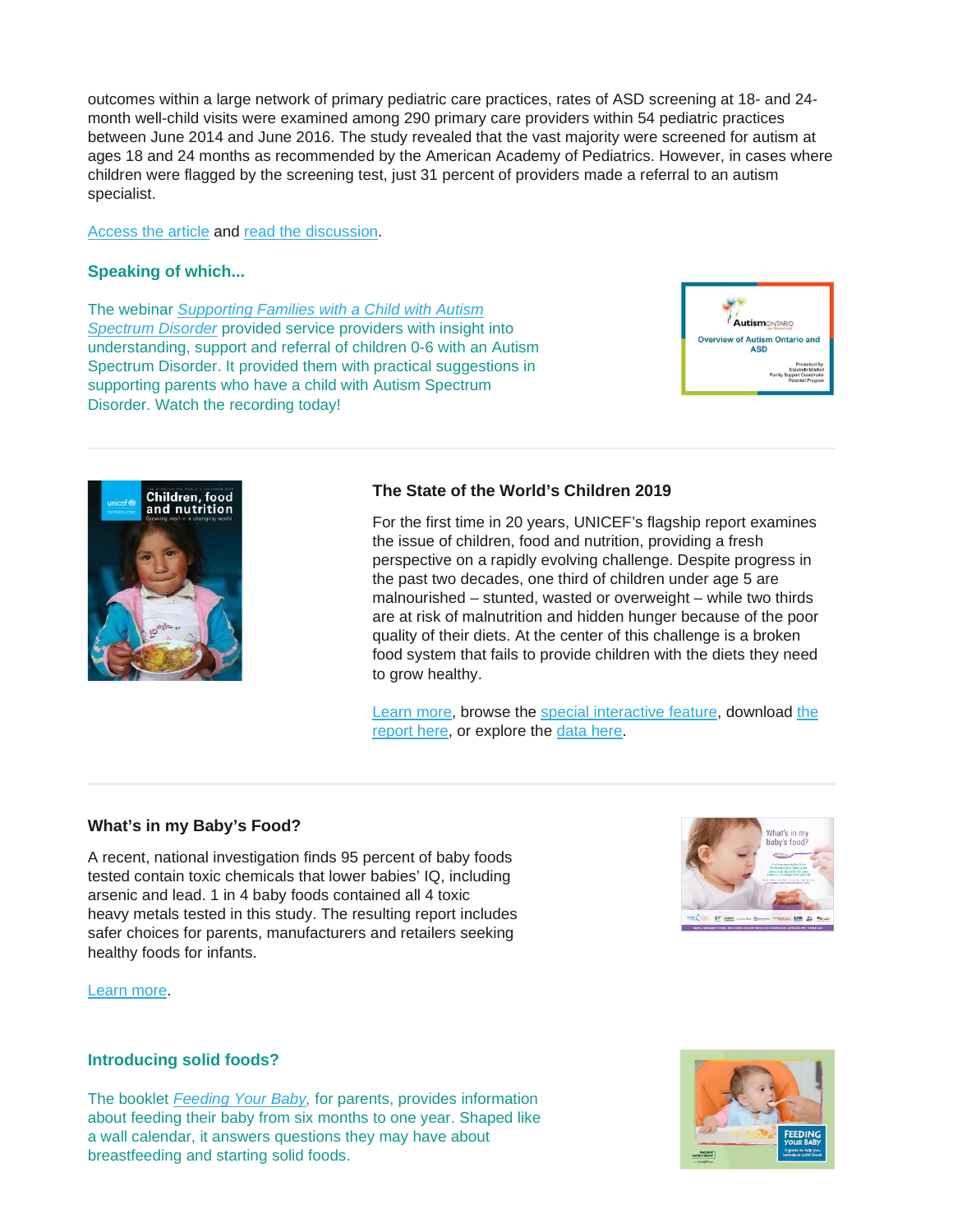outcomes within a large network of primary pediatric care practices, rates of ASD screening at 18- and 24 month well-child visits were examined among 290 primary care providers within 54 pediatric practices between June 2014 and June 2016. The study revealed that the vast majority were screened for autism at ages 18 and 24 months as recommended by the American Academy of Pediatrics. However, in cases where children were flagged by the screening test, just 31 percent of providers made a referral to an autism specialist.

[Access the article](https://pediatrics.aappublications.org/content/144/4/e20183326) and [read the discussion.](https://www.disabilityscoop.com/2019/09/24/study-when-kids-show-signs-autism-pediatricians-fall-short/27187/)

#### **Speaking of which...**

The webinar *[Supporting Families with a Child with Autism](http://en.beststart.org/past-events/webinar-SupportingFamiliesWithAChildWithAutismSpectrumDisorder-11Jul2018)  [Spectrum Disorder](http://en.beststart.org/past-events/webinar-SupportingFamiliesWithAChildWithAutismSpectrumDisorder-11Jul2018)* provided service providers with insight into understanding, support and referral of children 0-6 with an Autism Spectrum Disorder. It provided them with practical suggestions in supporting parents who have a child with Autism Spectrum Disorder. Watch the recording today!





#### **The State of the World's Children 2019**

For the first time in 20 years, UNICEF's flagship report examines the issue of children, food and nutrition, providing a fresh perspective on a rapidly evolving challenge. Despite progress in the past two decades, one third of children under age 5 are malnourished – stunted, wasted or overweight – while two thirds are at risk of malnutrition and hidden hunger because of the poor quality of their diets. At the center of this challenge is a broken food system that fails to provide children with the diets they need to grow healthy.

[Learn more,](https://www.unicef.org/press-releases/poor-diets-damaging-childrens-health-worldwide-warns-unicef) browse the [special interactive feature,](https://uni.cf/SOWC-2019) download [the](https://www.unicef.org/reports/state-of-worlds-children-2019)  [report here,](https://www.unicef.org/reports/state-of-worlds-children-2019) or explore the [data here.](https://data.unicef.org/resources/dataset/sowc-2019-statistical-tables/)

## **What's in my Baby's Food?**

A recent, national investigation finds 95 percent of baby foods tested contain toxic chemicals that lower babies' IQ, including arsenic and lead. 1 in 4 baby foods contained all 4 toxic heavy metals tested in this study. The resulting report includes safer choices for parents, manufacturers and retailers seeking healthy foods for infants.



[Learn more.](https://www.healthybabyfood.org/sites/healthybabyfoods.org/files/2019-10/BabyFoodReport_FULLREPORT_ENGLISH_R5b.pdf)

#### **Introducing solid foods?**

The booklet *[Feeding Your Baby,](https://resources.beststart.org/product/d12e-feeding-your-baby-booklet/)* for parents, provides information about feeding their baby from six months to one year. Shaped like a wall calendar, it answers questions they may have about breastfeeding and starting solid foods.

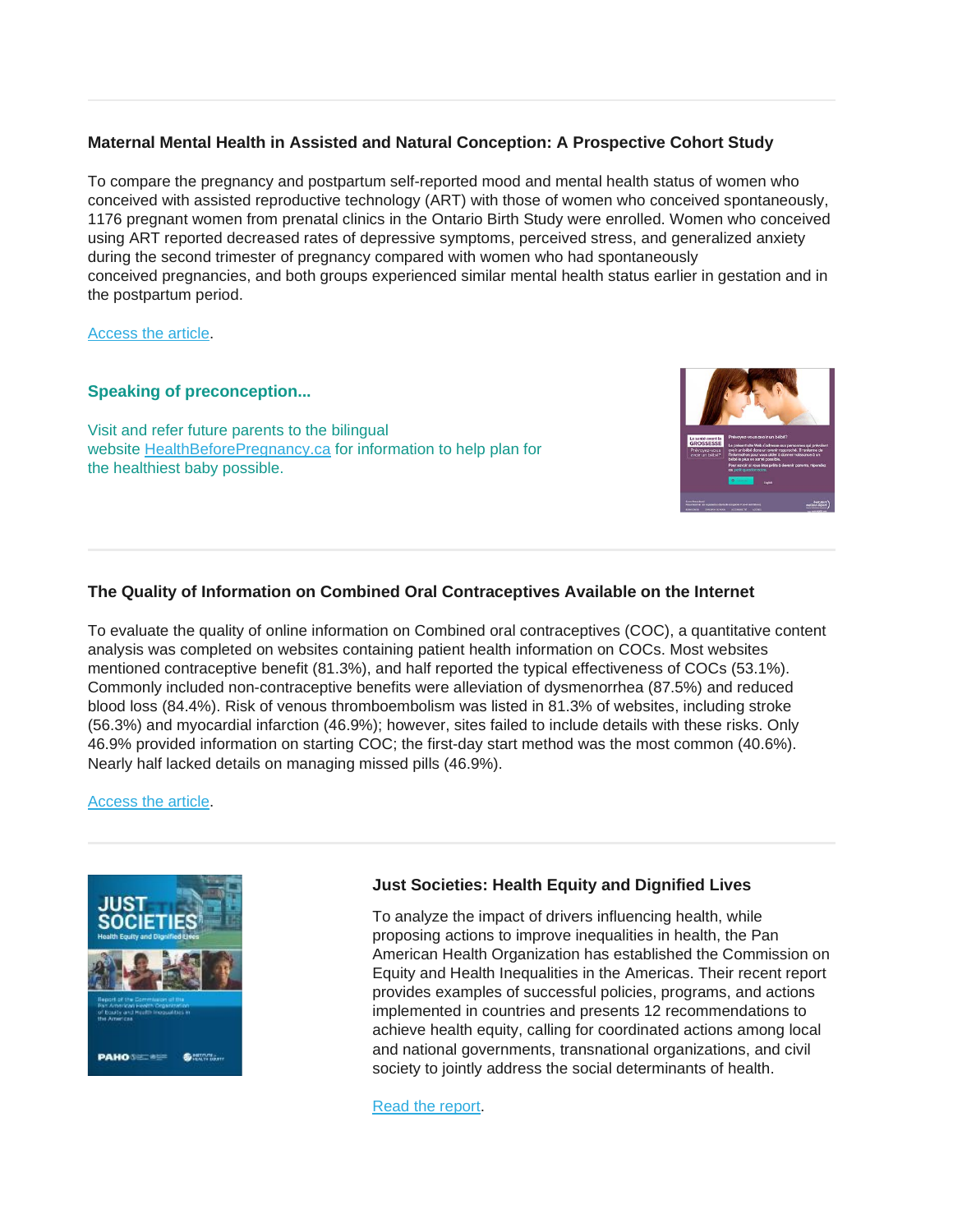# **Maternal Mental Health in Assisted and Natural Conception: A Prospective Cohort Study**

To compare the pregnancy and postpartum self-reported mood and mental health status of women who conceived with assisted reproductive technology (ART) with those of women who conceived spontaneously, 1176 pregnant women from prenatal clinics in the Ontario Birth Study were enrolled. Women who conceived using ART reported decreased rates of depressive symptoms, perceived stress, and generalized anxiety during the second trimester of pregnancy compared with women who had spontaneously conceived pregnancies, and both groups experienced similar mental health status earlier in gestation and in the postpartum period.

#### [Access the article.](https://www.jogc.com/article/S1701-2163(19)30271-3/abstract?dgcid=raven_jbs_etoc_email)

#### **Speaking of preconception...**

Visit and refer future parents to the bilingual website [HealthBeforePregnancy.ca](https://www.healthbeforepregnancy.ca/) for information to help plan for the healthiest baby possible.



## **The Quality of Information on Combined Oral Contraceptives Available on the Internet**

To evaluate the quality of online information on Combined oral contraceptives (COC), a quantitative content analysis was completed on websites containing patient health information on COCs. Most websites mentioned contraceptive benefit (81.3%), and half reported the typical effectiveness of COCs (53.1%). Commonly included non-contraceptive benefits were alleviation of dysmenorrhea (87.5%) and reduced blood loss (84.4%). Risk of venous thromboembolism was listed in 81.3% of websites, including stroke (56.3%) and myocardial infarction (46.9%); however, sites failed to include details with these risks. Only 46.9% provided information on starting COC; the first-day start method was the most common (40.6%). Nearly half lacked details on managing missed pills (46.9%).

#### [Access the article.](https://www.jogc.com/article/S1701-2163(19)30082-9/pdf)



## **Just Societies: Health Equity and Dignified Lives**

To analyze the impact of drivers influencing health, while proposing actions to improve inequalities in health, the Pan American Health Organization has established the Commission on Equity and Health Inequalities in the Americas. Their recent report provides examples of successful policies, programs, and actions implemented in countries and presents 12 recommendations to achieve health equity, calling for coordinated actions among local and national governments, transnational organizations, and civil society to jointly address the social determinants of health.

[Read the report.](http://iris.paho.org/xmlui/handle/123456789/51571)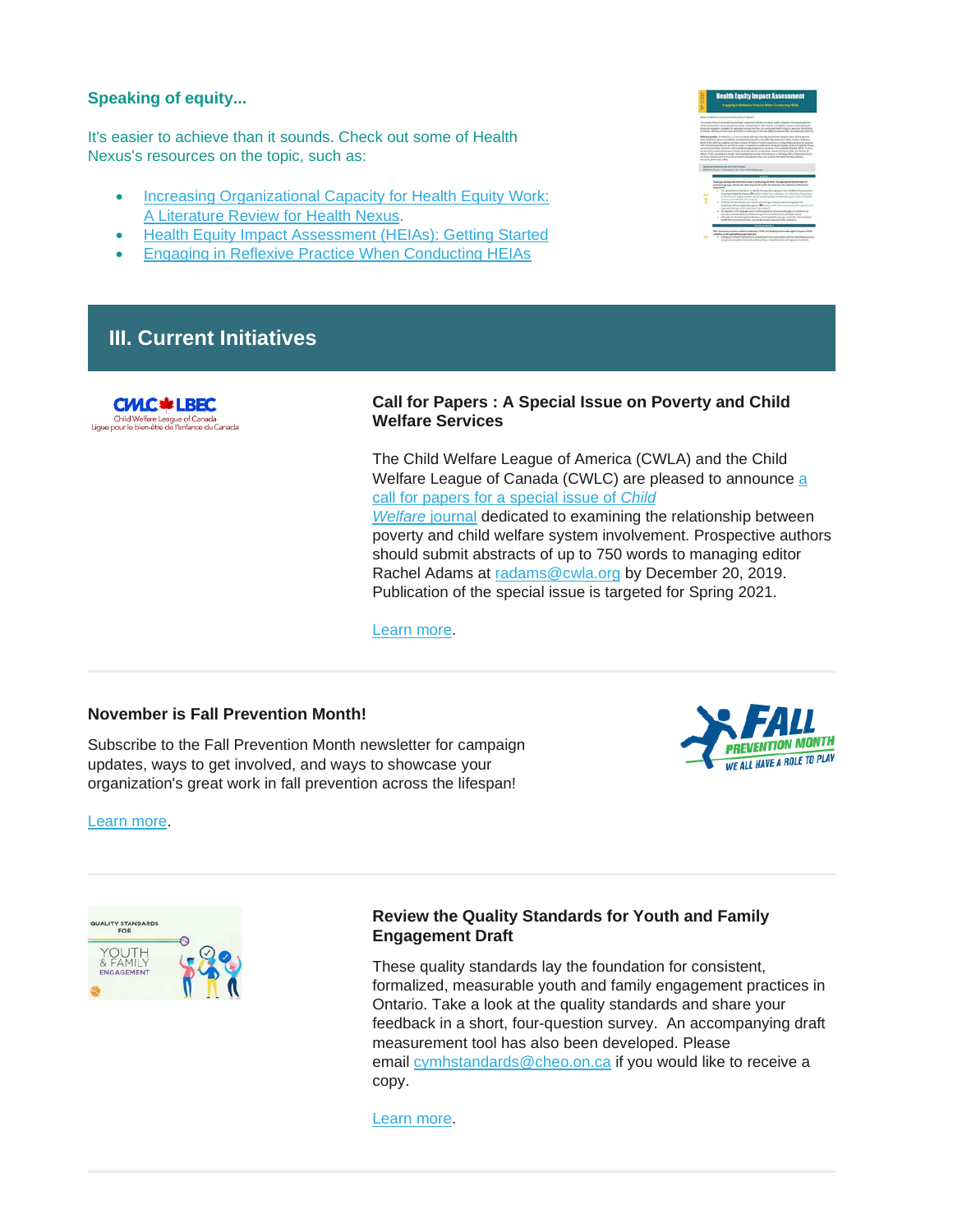#### **Speaking of equity...**

It's easier to achieve than it sounds. Check out some of Health Nexus's resources on the topic, such as:

- [Increasing Organizational Capacity for Health Equity Work:](https://resources.beststart.org/product/j34e-increasing-organizational-capacity-for-health-equity-work-report/)  [A Literature Review for Health Nexus.](https://resources.beststart.org/product/j34e-increasing-organizational-capacity-for-health-equity-work-report/)
- [Health Equity Impact Assessment \(HEIAs\): Getting Started](https://resources.beststart.org/product/j37e-health-equity-impact-assessment-getting-started-fact-sheet/)
- [Engaging in Reflexive Practice When Conducting HEIAs](https://resources.beststart.org/product/j39e-engaging-reflexive-practice-when-conducting-heias-fact-sheet/)

# **III. Current Initiatives**



#### **Call for Papers : A Special Issue on Poverty and Child Welfare Services**

The Child Welfare League of America (CWLA) and the Child Welfare League of Canada (CWLC) are pleased to announce [a](https://cwlc.us18.list-manage.com/track/click?u=88a1ea6ac41b2dce85f5ffe1b&id=45d66d4544&e=caf80ffe6b)  [call for papers for a special](https://cwlc.us18.list-manage.com/track/click?u=88a1ea6ac41b2dce85f5ffe1b&id=45d66d4544&e=caf80ffe6b) [issue of](https://cwlc.us18.list-manage.com/track/click?u=88a1ea6ac41b2dce85f5ffe1b&id=cc47da2ece&e=caf80ffe6b) *Child [Welfare](https://cwlc.us18.list-manage.com/track/click?u=88a1ea6ac41b2dce85f5ffe1b&id=cc47da2ece&e=caf80ffe6b)* journal dedicated to examining the relationship between poverty and child welfare system involvement. Prospective authors should submit abstracts of up to 750 words to managing editor Rachel Adams at [radams@cwla.org](mailto:radams@cwla.org) by December 20, 2019. Publication of the special issue is targeted for Spring 2021.

[Learn more.](https://cwlc.us18.list-manage.com/track/click?u=88a1ea6ac41b2dce85f5ffe1b&id=1e3494e5d3&e=caf80ffe6b)

#### **November is Fall Prevention Month!**

Subscribe to the Fall Prevention Month newsletter for campaign updates, ways to get involved, and ways to showcase your organization's great work in fall prevention across the lifespan!



[Learn more.](https://fallsloop.us14.list-manage.com/track/click?u=2c6611109dd93b6c70f4aee89&id=1e438f5d03&e=2dac09a144)



## **Review the Quality Standards for Youth and Family Engagement Draft**

These quality standards lay the foundation for consistent, formalized, measurable youth and family engagement practices in Ontario. Take a look at the quality standards and share your feedback in a short, four-question survey. An accompanying draft measurement tool has also been developed. Please email [cymhstandards@cheo.on.ca](mailto:cymhstandards@cheo.on.ca) if you would like to receive a copy.

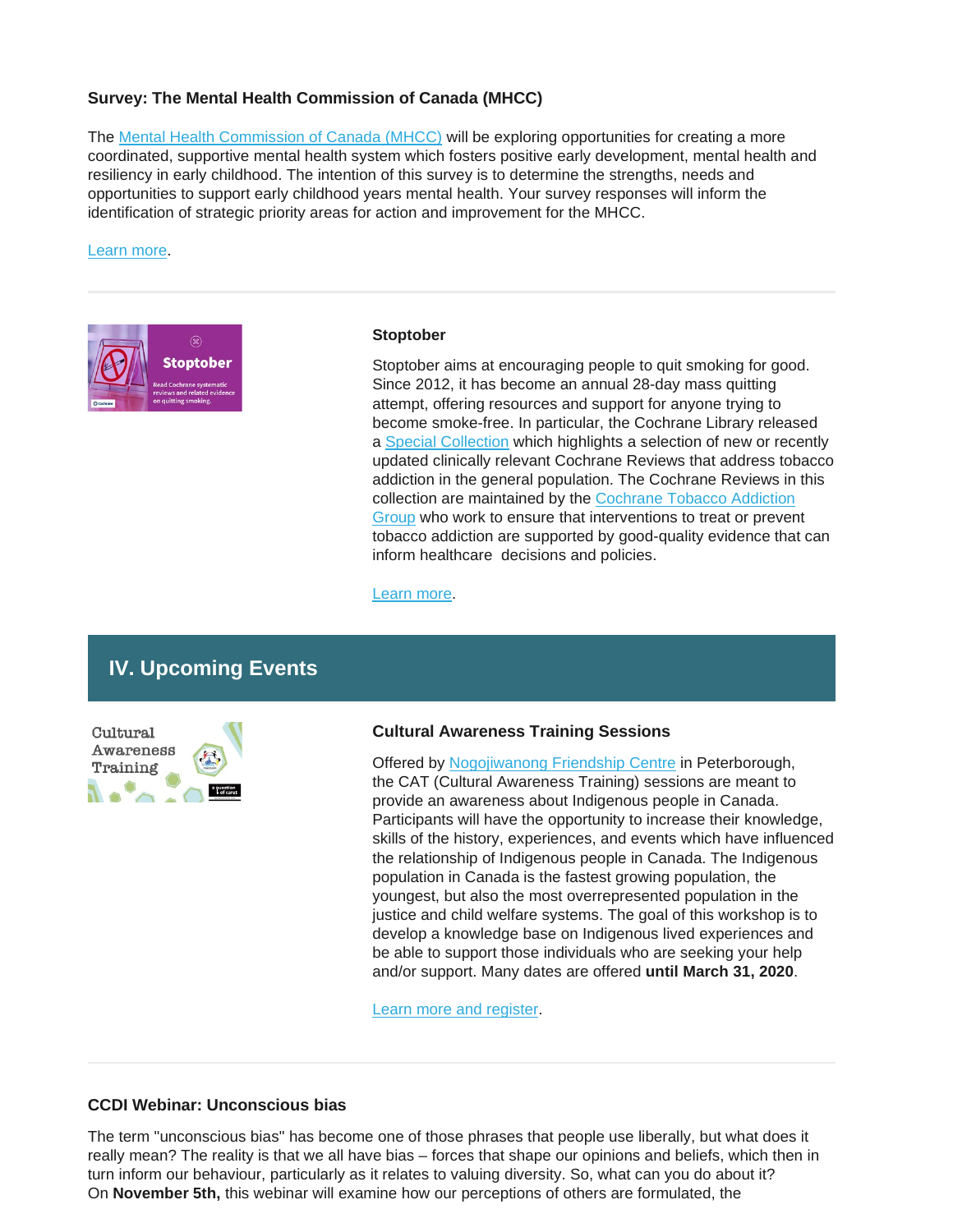#### **Survey: The Mental Health Commission of Canada (MHCC)**

The [Mental Health Commission of Canada \(MHCC\)](https://www.mentalhealthcommission.ca/) will be exploring opportunities for creating a more coordinated, supportive mental health system which fosters positive early development, mental health and resiliency in early childhood. The intention of this survey is to determine the strengths, needs and opportunities to support early childhood years mental health. Your survey responses will inform the identification of strategic priority areas for action and improvement for the MHCC.

#### [Learn more.](http://hosted.verticalresponse.com/1156975/a1ae49af0c/543049985/3492e15743/)



#### **Stoptober**

Stoptober aims at encouraging people to quit smoking for good. Since 2012, it has become an annual 28-day mass quitting attempt, offering resources and support for anyone trying to become smoke-free. In particular, the Cochrane Library released a [Special Collection](https://www.cochranelibrary.com/collections/doi/10.1002/14651858.SC000022/full) which highlights a selection of new or recently updated clinically relevant Cochrane Reviews that address tobacco addiction in the general population. The Cochrane Reviews in this collection are maintained by the [Cochrane Tobacco Addiction](http://tobacco.cochrane.org/)  [Group](http://tobacco.cochrane.org/) who work to ensure that interventions to treat or prevent tobacco addiction are supported by good-quality evidence that can inform healthcare decisions and policies.

[Learn more.](https://www.cochrane.org/news/stoptober)

# **IV. Upcoming Events**

Cultural Awareness Training

#### **Cultural Awareness Training Sessions**

Offered by [Nogojiwanong Friendship Centre](https://www.nogofc.ca/) in Peterborough, the CAT (Cultural Awareness Training) sessions are meant to provide an awareness about Indigenous people in Canada. Participants will have the opportunity to increase their knowledge, skills of the history, experiences, and events which have influenced the relationship of Indigenous people in Canada. The Indigenous population in Canada is the fastest growing population, the youngest, but also the most overrepresented population in the justice and child welfare systems. The goal of this workshop is to develop a knowledge base on Indigenous lived experiences and be able to support those individuals who are seeking your help and/or support. Many dates are offered **until March 31, 2020**.

[Learn more and register.](https://www.eventbrite.ca/e/cultural-awareness-training-tickets-59948914818)

#### **CCDI Webinar: Unconscious bias**

The term "unconscious bias" has become one of those phrases that people use liberally, but what does it really mean? The reality is that we all have bias – forces that shape our opinions and beliefs, which then in turn inform our behaviour, particularly as it relates to valuing diversity. So, what can you do about it? On **November 5th,** this webinar will examine how our perceptions of others are formulated, the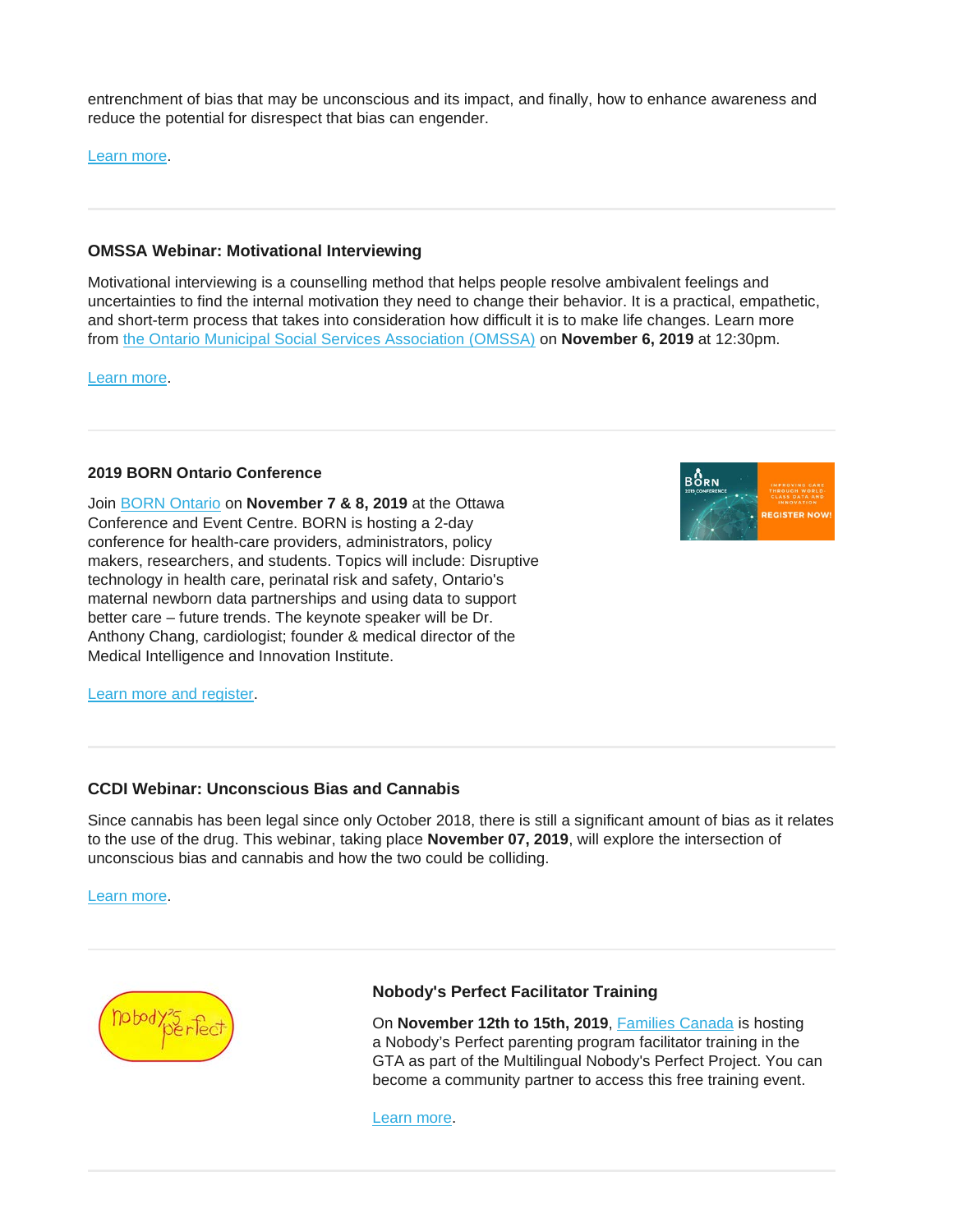entrenchment of bias that may be unconscious and its impact, and finally, how to enhance awareness and reduce the potential for disrespect that bias can engender.

[Learn more.](https://ccdi.ca/event-calendar/ccdi-webinar-unconscious-bias/)

## **OMSSA Webinar: Motivational Interviewing**

Motivational interviewing is a counselling method that helps people resolve ambivalent feelings and uncertainties to find the internal motivation they need to change their behavior. It is a practical, empathetic, and short-term process that takes into consideration how difficult it is to make life changes. Learn more from [the Ontario Municipal Social Services Association \(OMSSA\)](https://www.omssa.com/) on **November 6, 2019** at 12:30pm.

[Learn more.](https://omssa.com/webinar-motivational-interviewing.php)

#### **2019 BORN Ontario Conference**

Join [BORN Ontario](https://www.bornontario.ca/) on **November 7 & 8, 2019** at the Ottawa Conference and Event Centre. BORN is hosting a 2-day conference for health-care providers, administrators, policy makers, researchers, and students. Topics will include: Disruptive technology in health care, perinatal risk and safety, Ontario's maternal newborn data partnerships and using data to support better care – future trends. The keynote speaker will be Dr. Anthony Chang, cardiologist; founder & medical director of the Medical Intelligence and Innovation Institute.

**BÔRN** 

[Learn more and register.](https://www.bornontario.ca/en/whats-happening/2019-conference.aspx)

#### **CCDI Webinar: Unconscious Bias and Cannabis**

Since cannabis has been legal since only October 2018, there is still a significant amount of bias as it relates to the use of the drug. This webinar, taking place **November 07, 2019**, will explore the intersection of unconscious bias and cannabis and how the two could be colliding.

[Learn more.](https://ccdi.ca/event-calendar/ccdi-webinar-unconscious-bias-and-cannabis/)



## **Nobody's Perfect Facilitator Training**

On **November 12th to 15th, 2019**, [Families Canada](https://familiescanada.ca/) is hosting a Nobody's Perfect parenting program facilitator training in the GTA as part of the Multilingual Nobody's Perfect Project. You can become a community partner to access this free training event.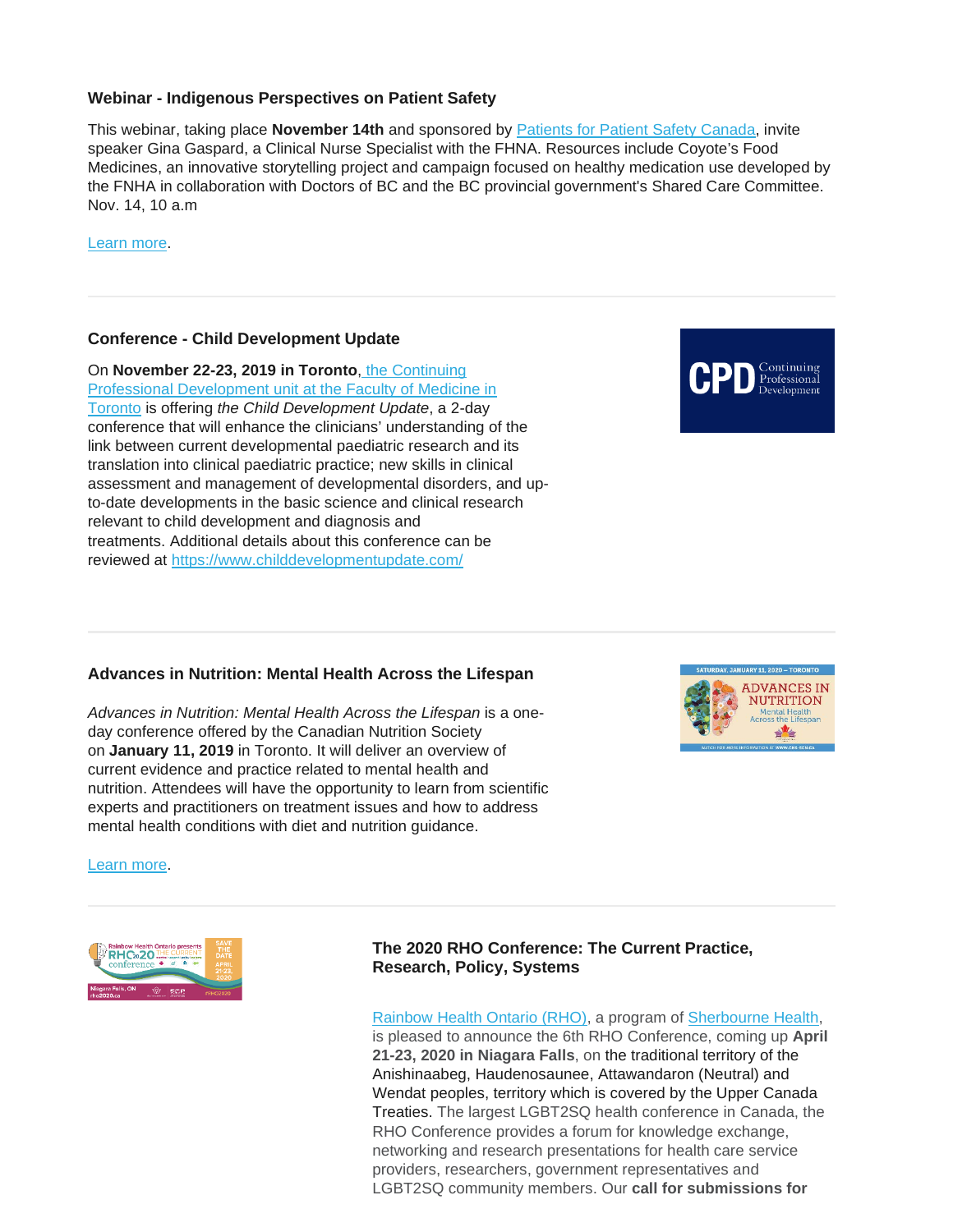#### **Webinar - Indigenous Perspectives on Patient Safety**

This webinar, taking place **November 14th** and sponsored by [Patients for Patient Safety Canada,](https://www.patientsafetyinstitute.ca/en/About/Programs/PPSC/Pages/default.aspx) invite speaker Gina Gaspard, a Clinical Nurse Specialist with the FHNA. Resources include Coyote's Food Medicines, an innovative storytelling project and campaign focused on healthy medication use developed by the FNHA in collaboration with Doctors of BC and the BC provincial government's Shared Care Committee. Nov. 14, 10 a.m

[Learn more.](https://firstnationshealthauthority.cmail20.com/t/i-l-pkrhjkk-wkutyxld-jr/)

## **Conference - Child Development Update**

On **November 22-23, 2019 in Toronto**, [the Continuing](https://www.cpd.utoronto.ca/)  [Professional Development unit at the Faculty of Medicine in](https://www.cpd.utoronto.ca/)  [Toronto](https://www.cpd.utoronto.ca/) is offering *the Child Development Update*, a 2-day conference that will enhance the clinicians' understanding of the link between current developmental paediatric research and its translation into clinical paediatric practice; new skills in clinical assessment and management of developmental disorders, and upto-date developments in the basic science and clinical research relevant to child development and diagnosis and treatments. Additional details about this conference can be reviewed at <https://www.childdevelopmentupdate.com/>

## **Advances in Nutrition: Mental Health Across the Lifespan**

*Advances in Nutrition: Mental Health Across the Lifespan* is a oneday conference offered by the Canadian Nutrition Society on **January 11, 2019** in Toronto. It will deliver an overview of current evidence and practice related to mental health and nutrition. Attendees will have the opportunity to learn from scientific experts and practitioners on treatment issues and how to address mental health conditions with diet and nutrition guidance.

[Learn more.](https://www.cns-scn.ca/events-activities/thematic-jan-11-2020/program)



# **The 2020 RHO Conference: The Current Practice, Research, Policy, Systems**

[Rainbow Health Ontario \(RHO\),](https://www.rainbowhealthontario.ca/) a program of [Sherbourne Health,](https://sherbourne.on.ca/) is pleased to announce the 6th RHO Conference, coming up **April 21-23, 2020 in Niagara Falls**, on the traditional territory of the Anishinaabeg, Haudenosaunee, Attawandaron (Neutral) and Wendat peoples, territory which is covered by the Upper Canada Treaties. The largest LGBT2SQ health conference in Canada, the RHO Conference provides a forum for knowledge exchange, networking and research presentations for health care service providers, researchers, government representatives and LGBT2SQ community members. Our **call for submissions for** 



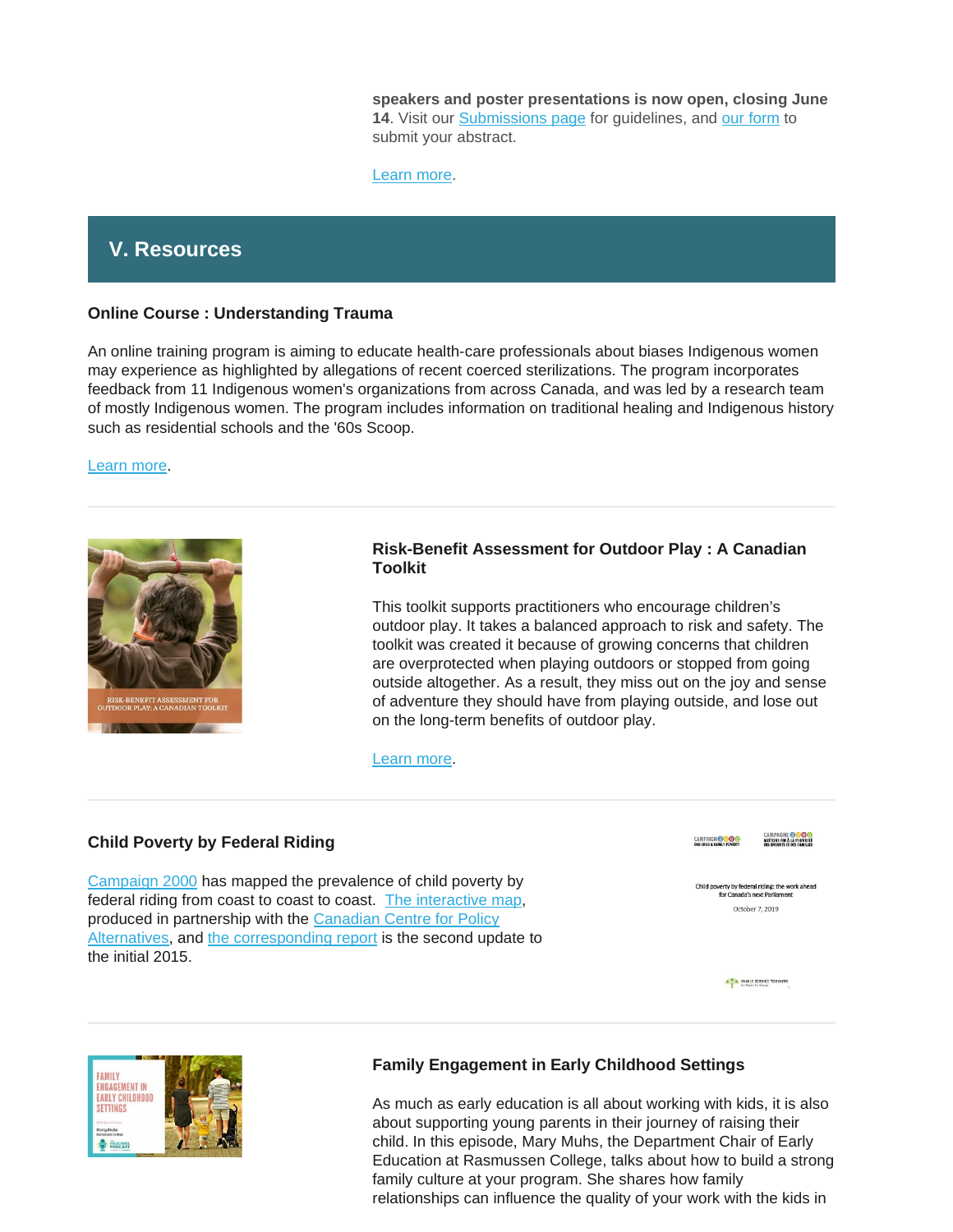**speakers and poster presentations is now open, closing June**  14. Visit our [Submissions page](https://www.rho2020.ca/call-for-submissions--appel-de-propositions.html) for guidelines, and [our form](https://events.eply.com/rho2020SpeakersConferenciers) to submit your abstract.

[Learn more.](https://www.rho2020.ca/)

# **V. Resources**

#### **Online Course : Understanding Trauma**

An online training program is aiming to educate health-care professionals about biases Indigenous women may experience as highlighted by allegations of recent coerced sterilizations. The program incorporates feedback from 11 Indigenous women's organizations from across Canada, and was led by a research team of mostly Indigenous women. The program includes information on traditional healing and Indigenous history such as residential schools and the '60s Scoop.

#### [Learn more.](https://www.cbc.ca/news/canada/thunder-bay/understanding-trauma-online-program-1.5303925)



#### **Risk-Benefit Assessment for Outdoor Play : A Canadian Toolkit**

This toolkit supports practitioners who encourage children's outdoor play. It takes a balanced approach to risk and safety. The toolkit was created it because of growing concerns that children are overprotected when playing outdoors or stopped from going outside altogether. As a result, they miss out on the joy and sense of adventure they should have from playing outside, and lose out on the long-term benefits of outdoor play.

[Learn more.](https://www.outdoorplaycanada.ca/portfolio_page/risk-benefit-assessment-for-outdoor-play-a-canadian-toolkit/)

## **Child Poverty by Federal Riding**

[Campaign 2000](https://campaign2000.ca/) has mapped the prevalence of child poverty by federal riding from coast to coast to coast. [The interactive map,](https://campaign2000.ca/child-poverty-by-federal-riding/) produced in partnership with the [Canadian Centre for Policy](https://www.policyalternatives.ca/)  [Alternatives,](https://www.policyalternatives.ca/) and [the corresponding report](https://campaign2000.ca/wp-content/uploads/2019/10/Child-povertyRiding-by-riding.pdf) is the second update to the initial 2015.



FAMILY SERVICE TORONTO



## **Family Engagement in Early Childhood Settings**

As much as early education is all about working with kids, it is also about supporting young parents in their journey of raising their child. In this episode, Mary Muhs, the Department Chair of Early Education at Rasmussen College, talks about how to build a strong family culture at your program. She shares how family relationships can influence the quality of your work with the kids in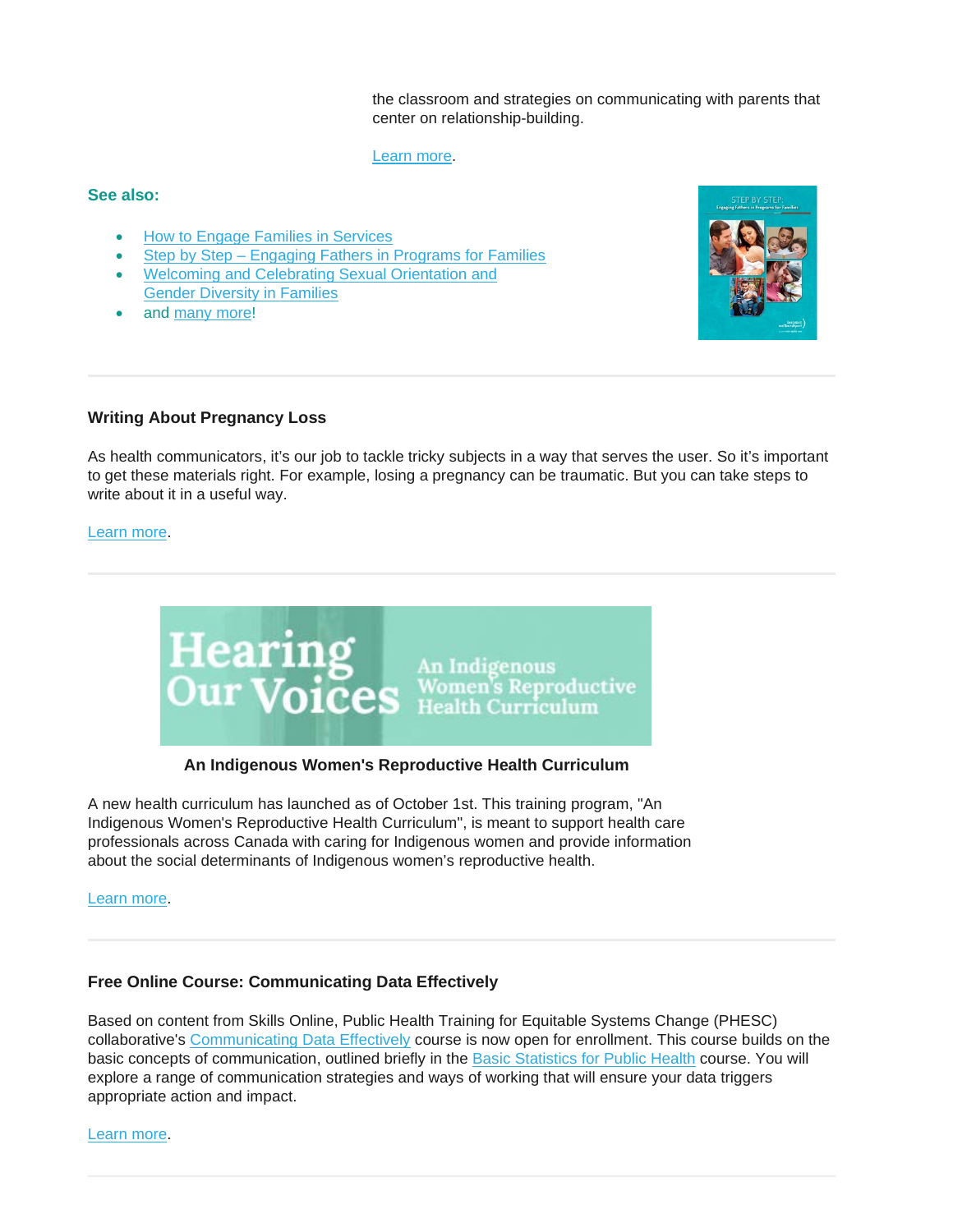the classroom and strategies on communicating with parents that center on relationship-building.

#### [Learn more.](https://blog.himama.com/preschool-podcast-mary-muhs/?utm_source=newsletter&utm_medium=email&utm_campaign=newsletter_09242019)

#### **See also:**

- [How to Engage Families in Services](https://resources.beststart.org/product/j11e-engage-families-in-services-manual/)
- Step by Step [Engaging Fathers in Programs for Families](https://resources.beststart.org/product/j12e-engaging-fathers-programs-families-manual/)
- [Welcoming and Celebrating Sexual Orientation and](https://resources.beststart.org/product/j14e-sexual-orientation-gender-diversity-families-manual/)  [Gender Diversity in Families](https://resources.beststart.org/product/j14e-sexual-orientation-gender-diversity-families-manual/)
- and [many more!](https://resources.beststart.org/product-category/resources/how-to-resources/)



# **Writing About Pregnancy Loss**

As health communicators, it's our job to tackle tricky subjects in a way that serves the user. So it's important to get these materials right. For example, losing a pregnancy can be traumatic. But you can take steps to write about it in a useful way.

#### [Learn more.](https://medium.com/wehearthealthliteracy/talking-about-pregnancy-loss-36e03f08590a)



## **An Indigenous Women's Reproductive Health Curriculum**

A new health curriculum has launched as of October 1st. This training program, "An Indigenous Women's Reproductive Health Curriculum", is meant to support health care professionals across Canada with caring for Indigenous women and provide information about the social determinants of Indigenous women's reproductive health.

[Learn more.](http://www.nurture-north.org/)

## **Free Online Course: Communicating Data Effectively**

Based on content from Skills Online, Public Health Training for Equitable Systems Change (PHESC) collaborative's [Communicating Data Effectively](https://utoronto.us19.list-manage.com/track/click?u=90989609f245ac5cf3326343a&id=5eb70dfc3d&e=361bf32a49) course is now open for enrollment. This course builds on the basic concepts of communication, outlined briefly in the [Basic Statistics for Public Health](https://utoronto.us19.list-manage.com/track/click?u=90989609f245ac5cf3326343a&id=51350a2834&e=361bf32a49) course. You will explore a range of communication strategies and ways of working that will ensure your data triggers appropriate action and impact.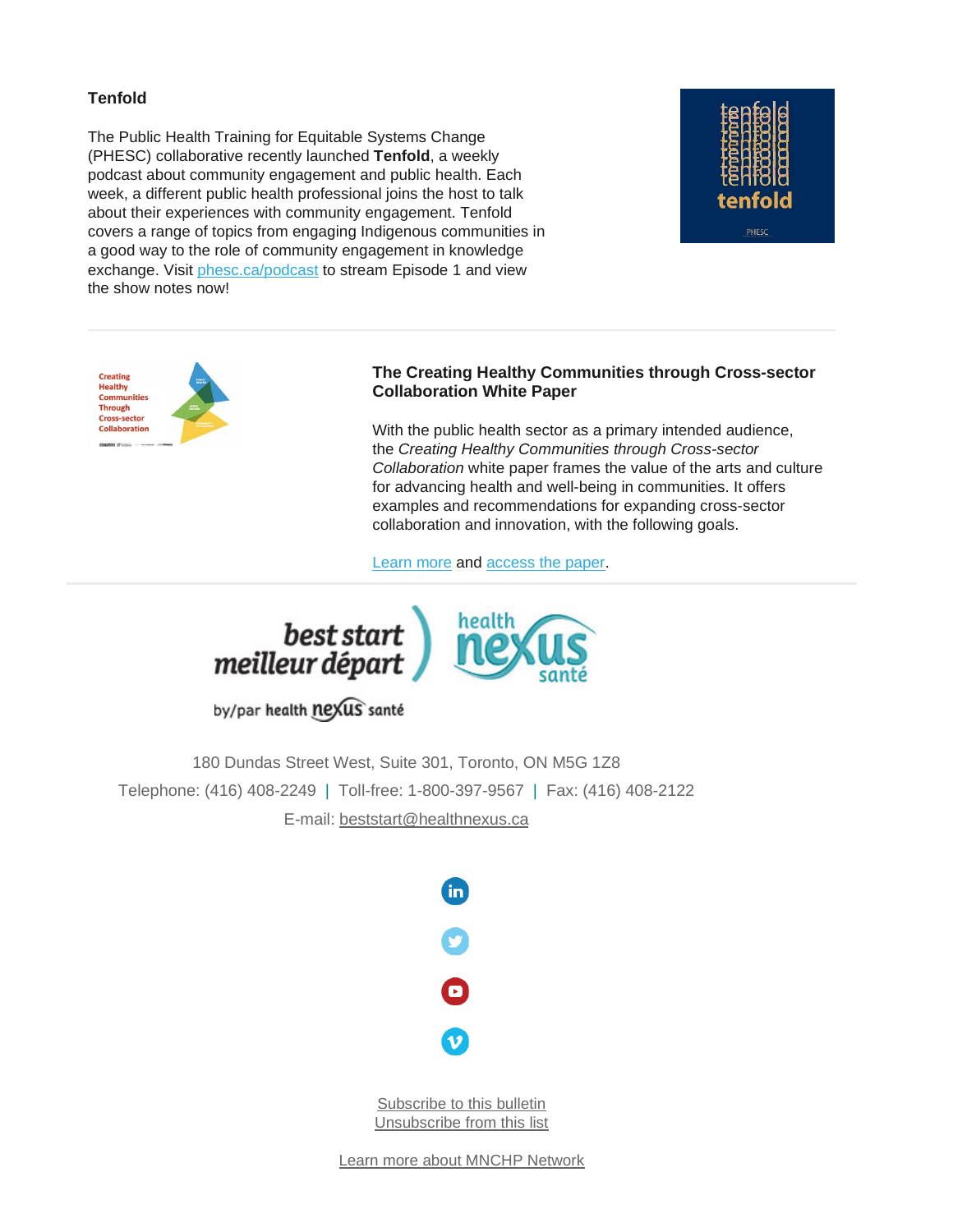# **Tenfold**

The Public Health Training for Equitable Systems Change (PHESC) collaborative recently launched **Tenfold**, a weekly podcast about community engagement and public health. Each week, a different public health professional joins the host to talk about their experiences with community engagement. Tenfold covers a range of topics from engaging Indigenous communities in a good way to the role of community engagement in knowledge exchange. Visit [phesc.ca/podcast](https://utoronto.us19.list-manage.com/track/click?u=90989609f245ac5cf3326343a&id=fa5dde0543&e=361bf32a49) to stream Episode 1 and view the show notes now!





## **The Creating Healthy Communities through Cross-sector Collaboration White Paper**

With the public health sector as a primary intended audience, the *Creating Healthy Communities through Cross-sector Collaboration* white paper frames the value of the arts and culture for advancing health and well-being in communities. It offers examples and recommendations for expanding cross-sector collaboration and innovation, with the following goals.

[Learn more](https://arts.ufl.edu/sites/creating-healthy-communities/resources/white-paper/) and [access the paper.](https://arts.ufl.edu/sites/creating-healthy-communities/resources/white-paper/)



by/par health nexus santé

180 Dundas Street West, Suite 301, Toronto, ON M5G 1Z8 Telephone: (416) 408-2249 | Toll-free: 1-800-397-9567 | Fax: (416) 408-2122 E-mail: [beststart@healthnexus.ca](mailto:beststart@healthnexus.ca?subject=Contact%20Us)



[Subscribe to this bulletin](mailto:mnchp@healthnexus.ca?subject=Unsubscribe%20to%20MNCHP%20bulletin%20and%20network) [Unsubscribe from this list](mailto:mnchp@healthnexus.ca?subject=Unsubscribe%20to%20MNCHP%20bulletin%20and%20network)

[Learn more about MNCHP Network](http://lists.beststart.org/listinfo.cgi/mnchp-beststart.org)